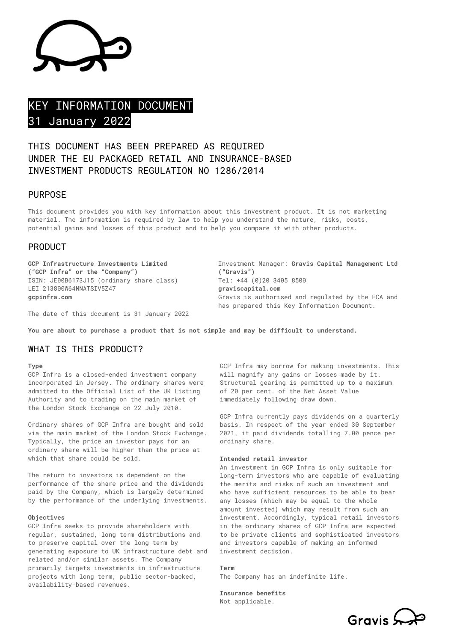# KEY INFORMATION DOCUMENT 31 January 2022

## THIS DOCUMENT HAS BEEN PREPARED AS REQUIRED UNDER THE EU PACKAGED RETAIL AND INSURANCE-BASED INVESTMENT PRODUCTS REGULATION NO 1286/2014

## PURPOSE

This document provides you with key information about this investment product. It is not marketing material. The information is required by law to help you understand the nature, risks, costs, potential gains and losses of this product and to help you compare it with other products.

#### PRODUCT

**GCP Infrastructure Investments Limited ("GCP Infra" or the "Company")** ISIN: JE00B6173J15 (ordinary share class) LEI 213800W64MNATSIV5Z47 **gcpinfra.com**

Investment Manager: **Gravis Capital Management Ltd ("Gravis")** Tel: +44 (0)20 3405 8500 **graviscapital.com** Gravis is authorised and regulated by the FCA and has prepared this Key Information Document.

The date of this document is 31 January 2022

**You are about to purchase a product that is not simple and may be difficult to understand.**

## WHAT IS THIS PRODUCT?

**Type**

GCP Infra is a closed-ended investment company incorporated in Jersey. The ordinary shares were admitted to the Official List of the UK Listing Authority and to trading on the main market of the London Stock Exchange on 22 July 2010.

Ordinary shares of GCP Infra are bought and sold via the main market of the London Stock Exchange. Typically, the price an investor pays for an ordinary share will be higher than the price at which that share could be sold.

The return to investors is dependent on the performance of the share price and the dividends paid by the Company, which is largely determined by the performance of the underlying investments.

#### **Objectives**

GCP Infra seeks to provide shareholders with regular, sustained, long term distributions and to preserve capital over the long term by generating exposure to UK infrastructure debt and related and/or similar assets. The Company primarily targets investments in infrastructure projects with long term, public sector-backed, availability-based revenues.

GCP Infra may borrow for making investments. This will magnify any gains or losses made by it. Structural gearing is permitted up to a maximum of 20 per cent. of the Net Asset Value immediately following draw down.

GCP Infra currently pays dividends on a quarterly basis. In respect of the year ended 30 September 2021, it paid dividends totalling 7.00 pence per ordinary share.

#### **Intended retail investor**

An investment in GCP Infra is only suitable for long-term investors who are capable of evaluating the merits and risks of such an investment and who have sufficient resources to be able to bear any losses (which may be equal to the whole amount invested) which may result from such an investment. Accordingly, typical retail investors in the ordinary shares of GCP Infra are expected to be private clients and sophisticated investors and investors capable of making an informed investment decision.

#### **Term**

The Company has an indefinite life.

**Insurance benefits** Not applicable.

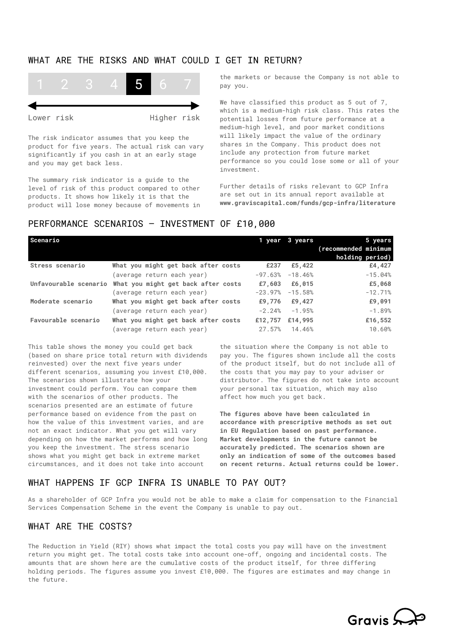## WHAT ARE THE RISKS AND WHAT COULD I GET IN RETURN?



The risk indicator assumes that you keep the product for five years. The actual risk can vary significantly if you cash in at an early stage and you may get back less.

The summary risk indicator is a guide to the level of risk of this product compared to other products. It shows how likely it is that the product will lose money because of movements in the markets or because the Company is not able to pay you.

We have classified this product as 5 out of 7, which is a medium-high risk class. This rates the potential losses from future performance at a medium-high level, and poor market conditions will likely impact the value of the ordinary shares in the Company. This product does not include any protection from future market performance so you could lose some or all of your investment.

Further details of risks relevant to GCP Infra are set out in its annual report available at **www.graviscapital.com/funds/gcp-infra/literature**

#### PERFORMANCE SCENARIOS – INVESTMENT OF £10,000

| Scenario            |                                                           |           | 1 year 3 years      | 5 years              |
|---------------------|-----------------------------------------------------------|-----------|---------------------|----------------------|
|                     |                                                           |           |                     | (recommended minimum |
|                     |                                                           |           |                     | holding period)      |
| Stress scenario     | What you might get back after costs                       | £237      | £5,422              | £4,427               |
|                     | (average return each year)                                | $-97.63%$ | $-18.46%$           | $-15.04%$            |
|                     | Unfavourable scenario What you might get back after costs |           | £7,603 £6,015       | £5,068               |
|                     | (average return each year)                                |           | $-23.97\% -15.58\%$ | $-12.71%$            |
| Moderate scenario   | What you might get back after costs                       | £9.776    | £9,427              | £9,091               |
|                     | (average return each year)                                | $-2.24%$  | $-1.95%$            | $-1.89%$             |
| Favourable scenario | What you might get back after costs                       | £12,757   | £14,995             | £16,552              |
|                     | average return each year)                                 | 27.57%    | 14.46%              | 10.60%               |

This table shows the money you could get back (based on share price total return with dividends reinvested) over the next five years under different scenarios, assuming you invest £10,000. The scenarios shown illustrate how your investment could perform. You can compare them with the scenarios of other products. The scenarios presented are an estimate of future performance based on evidence from the past on how the value of this investment varies, and are not an exact indicator. What you get will vary depending on how the market performs and how long you keep the investment. The stress scenario shows what you might get back in extreme market circumstances, and it does not take into account

the situation where the Company is not able to pay you. The figures shown include all the costs of the product itself, but do not include all of the costs that you may pay to your adviser or distributor. The figures do not take into account your personal tax situation, which may also affect how much you get back.

**The figures above have been calculated in accordance with prescriptive methods as set out in EU Regulation based on past performance. Market developments in the future cannot be accurately predicted. The scenarios shown are only an indication of some of the outcomes based on recent returns. Actual returns could be lower.** 

#### WHAT HAPPENS IF GCP INFRA IS UNABLE TO PAY OUT?

As a shareholder of GCP Infra you would not be able to make a claim for compensation to the Financial Services Compensation Scheme in the event the Company is unable to pay out.

#### WHAT ARE THE COSTS?

The Reduction in Yield (RIY) shows what impact the total costs you pay will have on the investment return you might get. The total costs take into account one-off, ongoing and incidental costs. The amounts that are shown here are the cumulative costs of the product itself, for three differing holding periods. The figures assume you invest £10,000. The figures are estimates and may change in the future.